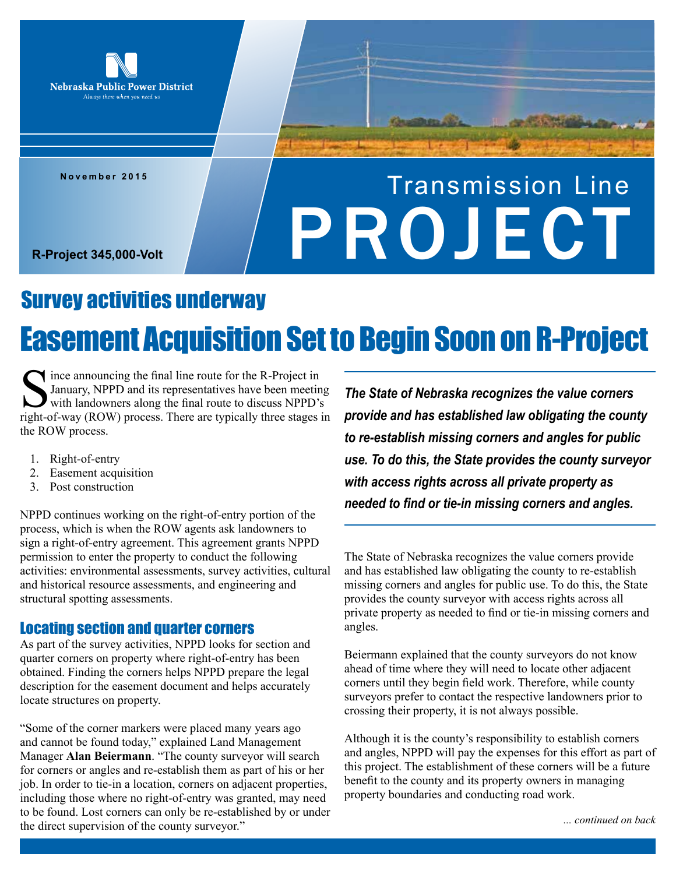

**November 2015**

# Transmission Line R-Project 345,000-Volt

## Easement Acquisition Set to Begin Soon on R-Project Survey activities underway

 $\blacktriangle$  ince announcing the final line route for the R-Project in January, NPPD and its representatives have been meeting with landowners along the final route to discuss NPPD's right-of-way (ROW) process. There are typically three stages in the ROW process.

- 1. Right-of-entry
- 2. Easement acquisition
- 3. Post construction

NPPD continues working on the right-of-entry portion of the process, which is when the ROW agents ask landowners to sign a right-of-entry agreement. This agreement grants NPPD permission to enter the property to conduct the following activities: environmental assessments, survey activities, cultural and historical resource assessments, and engineering and structural spotting assessments.

### Locating section and quarter corners

As part of the survey activities, NPPD looks for section and quarter corners on property where right-of-entry has been obtained. Finding the corners helps NPPD prepare the legal description for the easement document and helps accurately locate structures on property.

"Some of the corner markers were placed many years ago and cannot be found today," explained Land Management Manager **Alan Beiermann**. "The county surveyor will search for corners or angles and re-establish them as part of his or her job. In order to tie-in a location, corners on adjacent properties, including those where no right-of-entry was granted, may need to be found. Lost corners can only be re-established by or under the direct supervision of the county surveyor."

*The State of Nebraska recognizes the value corners provide and has established law obligating the county to re-establish missing corners and angles for public use. To do this, the State provides the county surveyor with access rights across all private property as needed to find or tie-in missing corners and angles.*

The State of Nebraska recognizes the value corners provide and has established law obligating the county to re-establish missing corners and angles for public use. To do this, the State provides the county surveyor with access rights across all private property as needed to find or tie-in missing corners and angles.

Beiermann explained that the county surveyors do not know ahead of time where they will need to locate other adjacent corners until they begin field work. Therefore, while county surveyors prefer to contact the respective landowners prior to crossing their property, it is not always possible.

Although it is the county's responsibility to establish corners and angles, NPPD will pay the expenses for this effort as part of this project. The establishment of these corners will be a future benefit to the county and its property owners in managing property boundaries and conducting road work.